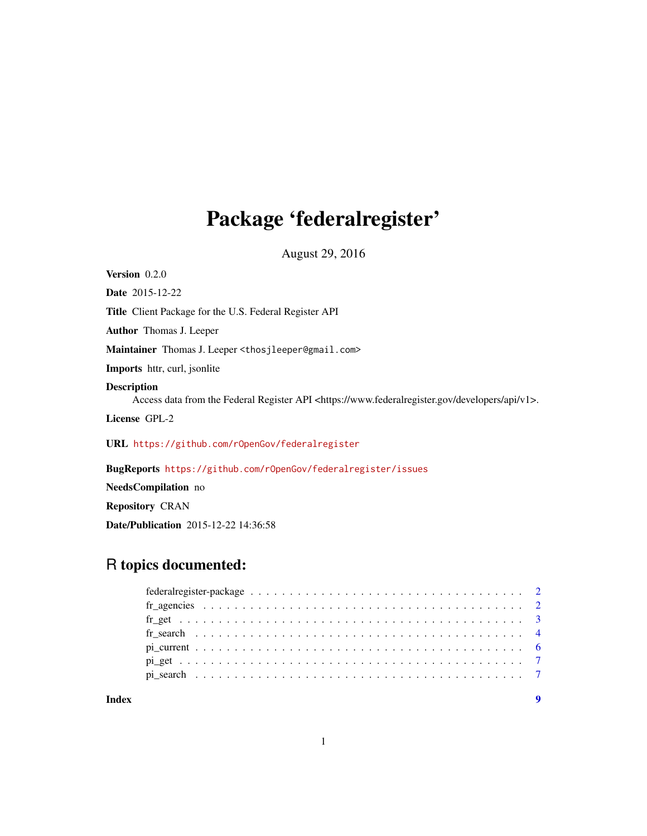# Package 'federalregister'

August 29, 2016

<span id="page-0-0"></span>Version 0.2.0 Date 2015-12-22 Title Client Package for the U.S. Federal Register API Author Thomas J. Leeper Maintainer Thomas J. Leeper <thosjleeper@gmail.com> Imports httr, curl, jsonlite Description Access data from the Federal Register API <https://www.federalregister.gov/developers/api/v1>. License GPL-2 URL <https://github.com/rOpenGov/federalregister> BugReports <https://github.com/rOpenGov/federalregister/issues> NeedsCompilation no

# Repository CRAN

Date/Publication 2015-12-22 14:36:58

# R topics documented:

| Index |  |  |  |  |  |  |  |  |  |  |  |  |  |  |  |  |  |  |  |
|-------|--|--|--|--|--|--|--|--|--|--|--|--|--|--|--|--|--|--|--|

# 1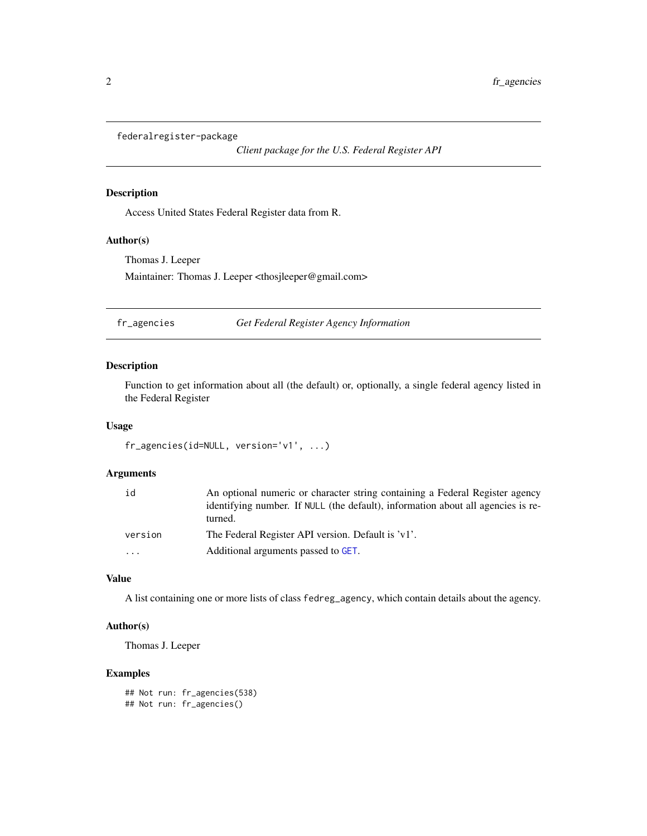<span id="page-1-0"></span>federalregister-package

*Client package for the U.S. Federal Register API*

# Description

Access United States Federal Register data from R.

# Author(s)

Thomas J. Leeper Maintainer: Thomas J. Leeper <thosjleeper@gmail.com>

fr\_agencies *Get Federal Register Agency Information*

# Description

Function to get information about all (the default) or, optionally, a single federal agency listed in the Federal Register

#### Usage

```
fr_agencies(id=NULL, version='v1', ...)
```
#### Arguments

| id      | An optional numeric or character string containing a Federal Register agency<br>identifying number. If NULL (the default), information about all agencies is re-<br>turned. |
|---------|-----------------------------------------------------------------------------------------------------------------------------------------------------------------------------|
| version | The Federal Register API version. Default is 'v1'.                                                                                                                          |
| .       | Additional arguments passed to GET.                                                                                                                                         |

# Value

A list containing one or more lists of class fedreg\_agency, which contain details about the agency.

# Author(s)

Thomas J. Leeper

# Examples

```
## Not run: fr_agencies(538)
## Not run: fr_agencies()
```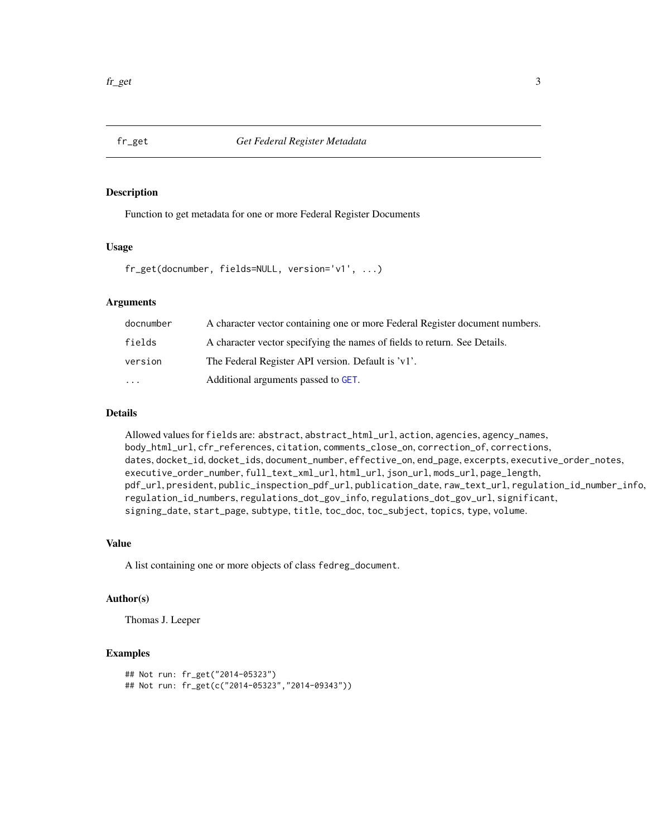<span id="page-2-0"></span>

Function to get metadata for one or more Federal Register Documents

#### Usage

fr\_get(docnumber, fields=NULL, version='v1', ...)

# Arguments

| docnumber | A character vector containing one or more Federal Register document numbers. |
|-----------|------------------------------------------------------------------------------|
| fields    | A character vector specifying the names of fields to return. See Details.    |
| version   | The Federal Register API version. Default is 'v1'.                           |
| $\cdot$   | Additional arguments passed to GET.                                          |

# Details

Allowed values for fields are: abstract, abstract\_html\_url, action, agencies, agency\_names, body\_html\_url, cfr\_references, citation, comments\_close\_on, correction\_of, corrections, dates, docket\_id, docket\_ids, document\_number, effective\_on, end\_page, excerpts, executive\_order\_notes, executive\_order\_number, full\_text\_xml\_url, html\_url, json\_url, mods\_url, page\_length, pdf\_url, president, public\_inspection\_pdf\_url, publication\_date, raw\_text\_url, regulation\_id\_number\_info, regulation\_id\_numbers, regulations\_dot\_gov\_info, regulations\_dot\_gov\_url, significant, signing\_date, start\_page, subtype, title, toc\_doc, toc\_subject, topics, type, volume.

#### Value

A list containing one or more objects of class fedreg\_document.

### Author(s)

Thomas J. Leeper

#### Examples

```
## Not run: fr_get("2014-05323")
## Not run: fr_get(c("2014-05323","2014-09343"))
```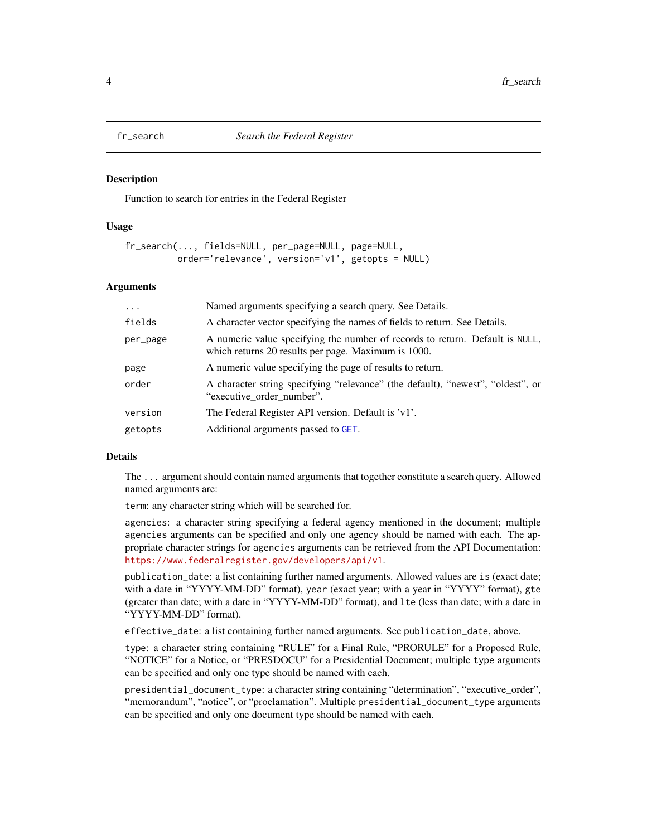<span id="page-3-0"></span>

Function to search for entries in the Federal Register

#### Usage

```
fr_search(..., fields=NULL, per_page=NULL, page=NULL,
         order='relevance', version='v1', getopts = NULL)
```
#### **Arguments**

| $\cdots$ | Named arguments specifying a search query. See Details.                                                                             |
|----------|-------------------------------------------------------------------------------------------------------------------------------------|
| fields   | A character vector specifying the names of fields to return. See Details.                                                           |
| per_page | A numeric value specifying the number of records to return. Default is NULL,<br>which returns 20 results per page. Maximum is 1000. |
| page     | A numeric value specifying the page of results to return.                                                                           |
| order    | A character string specifying "relevance" (the default), "newest", "oldest", or<br>"executive order number".                        |
| version  | The Federal Register API version. Default is 'v1'.                                                                                  |
| getopts  | Additional arguments passed to GET.                                                                                                 |

#### Details

The ... argument should contain named arguments that together constitute a search query. Allowed named arguments are:

term: any character string which will be searched for.

agencies: a character string specifying a federal agency mentioned in the document; multiple agencies arguments can be specified and only one agency should be named with each. The appropriate character strings for agencies arguments can be retrieved from the API Documentation: <https://www.federalregister.gov/developers/api/v1>.

publication\_date: a list containing further named arguments. Allowed values are is (exact date; with a date in "YYYY-MM-DD" format), year (exact year; with a year in "YYYY" format), gte (greater than date; with a date in "YYYY-MM-DD" format), and lte (less than date; with a date in "YYYY-MM-DD" format).

effective\_date: a list containing further named arguments. See publication\_date, above.

type: a character string containing "RULE" for a Final Rule, "PRORULE" for a Proposed Rule, "NOTICE" for a Notice, or "PRESDOCU" for a Presidential Document; multiple type arguments can be specified and only one type should be named with each.

presidential\_document\_type: a character string containing "determination", "executive\_order", "memorandum", "notice", or "proclamation". Multiple presidential\_document\_type arguments can be specified and only one document type should be named with each.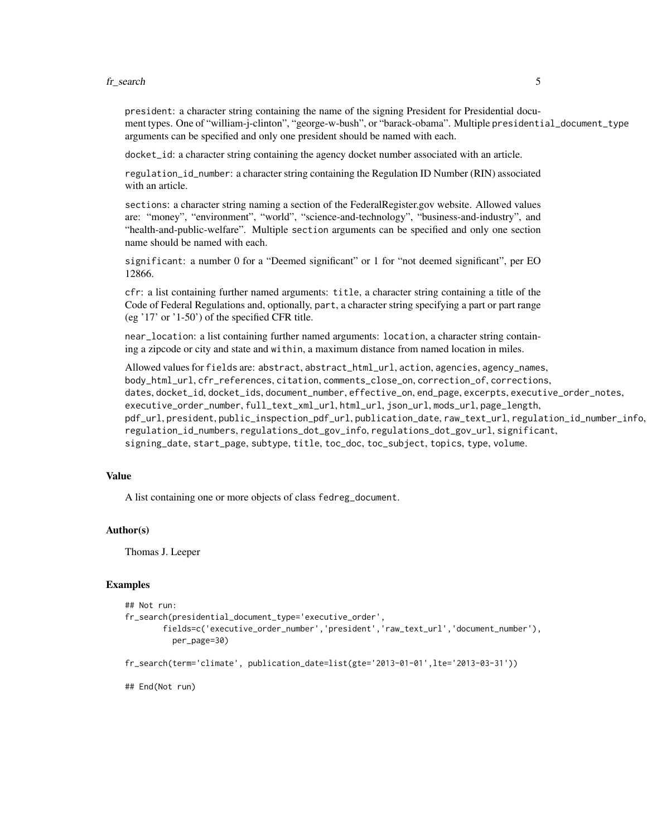#### fr\_search 5

president: a character string containing the name of the signing President for Presidential document types. One of "william-j-clinton", "george-w-bush", or "barack-obama". Multiple presidential\_document\_type arguments can be specified and only one president should be named with each.

docket\_id: a character string containing the agency docket number associated with an article.

regulation\_id\_number: a character string containing the Regulation ID Number (RIN) associated with an article.

sections: a character string naming a section of the FederalRegister.gov website. Allowed values are: "money", "environment", "world", "science-and-technology", "business-and-industry", and "health-and-public-welfare". Multiple section arguments can be specified and only one section name should be named with each.

significant: a number 0 for a "Deemed significant" or 1 for "not deemed significant", per EO 12866.

cfr: a list containing further named arguments: title, a character string containing a title of the Code of Federal Regulations and, optionally, part, a character string specifying a part or part range (eg '17' or '1-50') of the specified CFR title.

near\_location: a list containing further named arguments: location, a character string containing a zipcode or city and state and within, a maximum distance from named location in miles.

Allowed values for fields are: abstract, abstract\_html\_url, action, agencies, agency\_names, body\_html\_url, cfr\_references, citation, comments\_close\_on, correction\_of, corrections, dates, docket\_id, docket\_ids, document\_number, effective\_on, end\_page, excerpts, executive\_order\_notes, executive\_order\_number, full\_text\_xml\_url, html\_url, json\_url, mods\_url, page\_length, pdf\_url, president, public\_inspection\_pdf\_url, publication\_date, raw\_text\_url, regulation\_id\_number\_info, regulation\_id\_numbers, regulations\_dot\_gov\_info, regulations\_dot\_gov\_url, significant, signing\_date, start\_page, subtype, title, toc\_doc, toc\_subject, topics, type, volume.

#### Value

A list containing one or more objects of class fedreg\_document.

#### Author(s)

Thomas J. Leeper

# Examples

```
## Not run:
fr_search(presidential_document_type='executive_order',
        fields=c('executive_order_number','president','raw_text_url','document_number'),
          per_page=30)
fr_search(term='climate', publication_date=list(gte='2013-01-01',lte='2013-03-31'))
```
## End(Not run)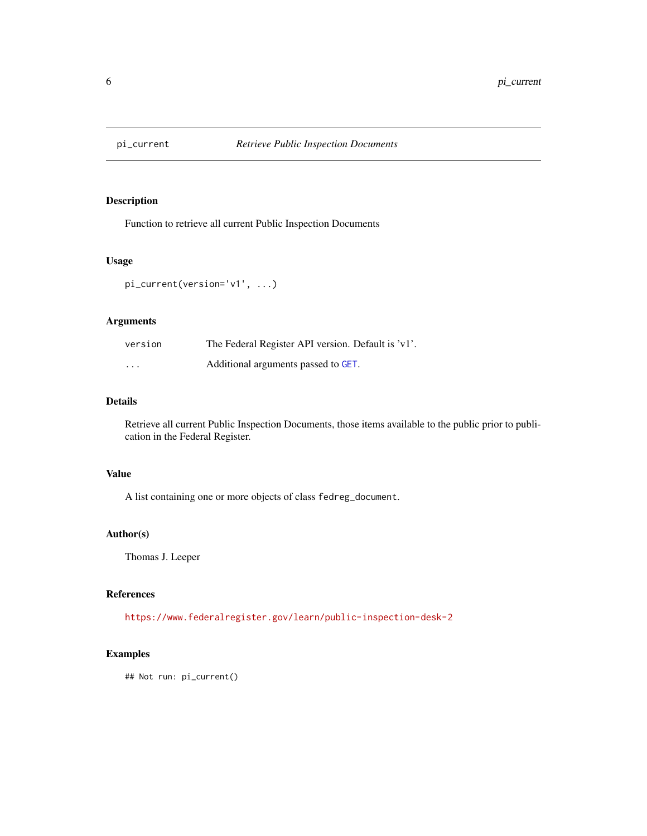<span id="page-5-0"></span>

Function to retrieve all current Public Inspection Documents

### Usage

```
pi_current(version='v1', ...)
```
# Arguments

| version  | The Federal Register API version. Default is 'v1'. |
|----------|----------------------------------------------------|
| $\cdots$ | Additional arguments passed to GET.                |

# Details

Retrieve all current Public Inspection Documents, those items available to the public prior to publication in the Federal Register.

# Value

A list containing one or more objects of class fedreg\_document.

# Author(s)

Thomas J. Leeper

#### References

<https://www.federalregister.gov/learn/public-inspection-desk-2>

# Examples

## Not run: pi\_current()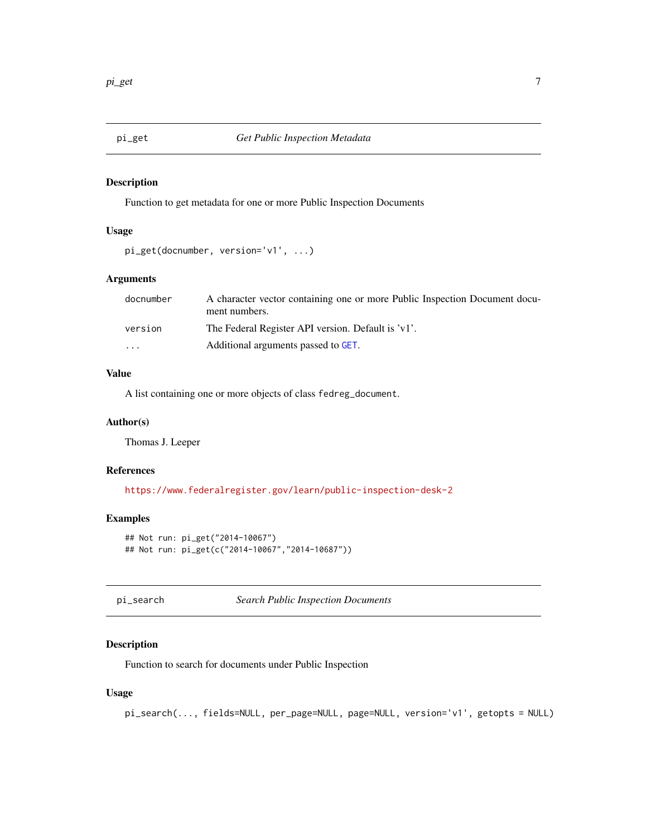<span id="page-6-0"></span>

Function to get metadata for one or more Public Inspection Documents

### Usage

```
pi_get(docnumber, version='v1', ...)
```
# Arguments

| A character vector containing one or more Public Inspection Document docu-<br>ment numbers. |
|---------------------------------------------------------------------------------------------|
| The Federal Register API version. Default is 'v1'.                                          |
| Additional arguments passed to GET.                                                         |
|                                                                                             |

# Value

A list containing one or more objects of class fedreg\_document.

#### Author(s)

Thomas J. Leeper

# References

<https://www.federalregister.gov/learn/public-inspection-desk-2>

# Examples

```
## Not run: pi_get("2014-10067")
## Not run: pi_get(c("2014-10067","2014-10687"))
```
pi\_search *Search Public Inspection Documents*

## Description

Function to search for documents under Public Inspection

#### Usage

pi\_search(..., fields=NULL, per\_page=NULL, page=NULL, version='v1', getopts = NULL)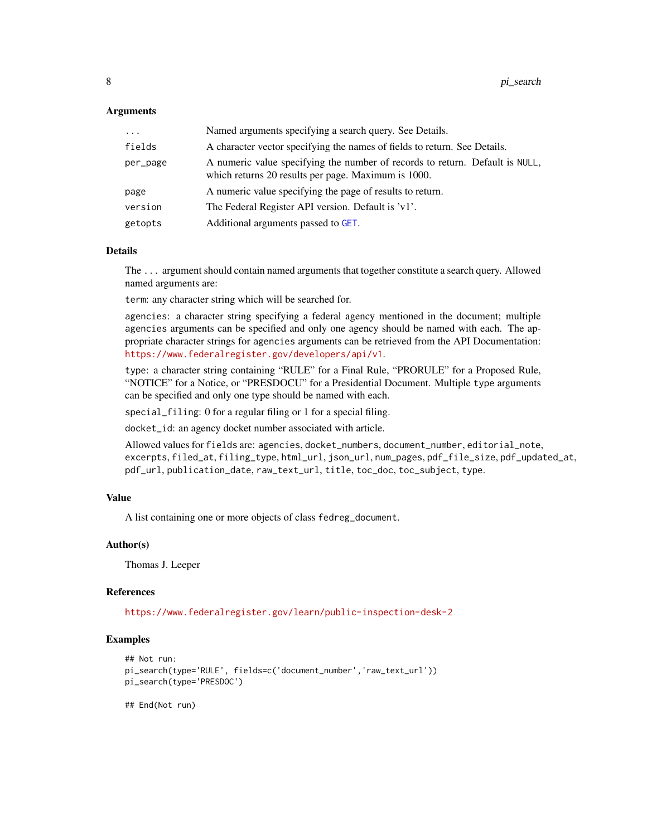### <span id="page-7-0"></span>Arguments

| $\cdots$ | Named arguments specifying a search query. See Details.                                                                             |
|----------|-------------------------------------------------------------------------------------------------------------------------------------|
| fields   | A character vector specifying the names of fields to return. See Details.                                                           |
| per_page | A numeric value specifying the number of records to return. Default is NULL,<br>which returns 20 results per page. Maximum is 1000. |
| page     | A numeric value specifying the page of results to return.                                                                           |
| version  | The Federal Register API version. Default is 'v1'.                                                                                  |
| getopts  | Additional arguments passed to GET.                                                                                                 |

#### Details

The ... argument should contain named arguments that together constitute a search query. Allowed named arguments are:

term: any character string which will be searched for.

agencies: a character string specifying a federal agency mentioned in the document; multiple agencies arguments can be specified and only one agency should be named with each. The appropriate character strings for agencies arguments can be retrieved from the API Documentation: <https://www.federalregister.gov/developers/api/v1>.

type: a character string containing "RULE" for a Final Rule, "PRORULE" for a Proposed Rule, "NOTICE" for a Notice, or "PRESDOCU" for a Presidential Document. Multiple type arguments can be specified and only one type should be named with each.

special\_filing: 0 for a regular filing or 1 for a special filing.

docket\_id: an agency docket number associated with article.

Allowed values for fields are: agencies, docket\_numbers, document\_number, editorial\_note, excerpts, filed\_at, filing\_type, html\_url, json\_url, num\_pages, pdf\_file\_size, pdf\_updated\_at, pdf\_url, publication\_date, raw\_text\_url, title, toc\_doc, toc\_subject, type.

## Value

A list containing one or more objects of class fedreg\_document.

### Author(s)

Thomas J. Leeper

#### References

<https://www.federalregister.gov/learn/public-inspection-desk-2>

#### Examples

```
## Not run:
pi_search(type='RULE', fields=c('document_number','raw_text_url'))
pi_search(type='PRESDOC')
## End(Not run)
```